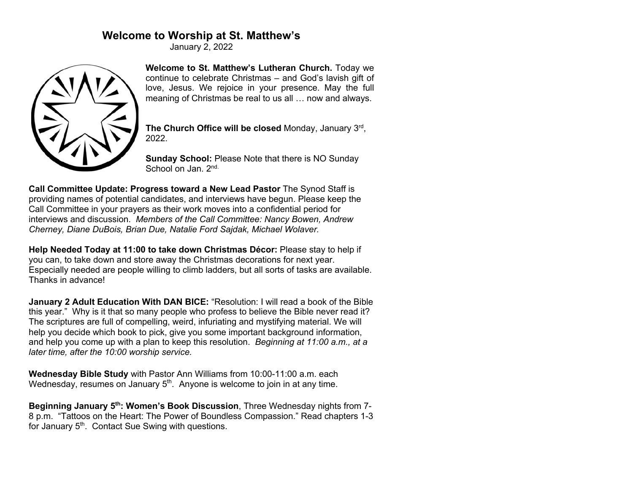# **Welcome to Worship at St. Matthew's**

January 2, 2022



**Welcome to St. Matthew's Lutheran Church.** Today we continue to celebrate Christmas – and God's lavish gift of love, Jesus. We rejoice in your presence. May the full meaning of Christmas be real to us all … now and always.

**The Church Office will be closed** Monday, January 3rd, 2022.

**Sunday School:** Please Note that there is NO Sunday School on Jan. 2<sup>nd.</sup>

**Call Committee Update: Progress toward a New Lead Pastor** The Synod Staff is providing names of potential candidates, and interviews have begun. Please keep the Call Committee in your prayers as their work moves into a confidential period for interviews and discussion. *Members of the Call Committee: Nancy Bowen, Andrew Cherney, Diane DuBois, Brian Due, Natalie Ford Sajdak, Michael Wolaver.*

**Help Needed Today at 11:00 to take down Christmas Décor:** Please stay to help if you can, to take down and store away the Christmas decorations for next year. Especially needed are people willing to climb ladders, but all sorts of tasks are available. Thanks in advance!

**January 2 Adult Education With DAN BICE:** "Resolution: I will read a book of the Bible this year." Why is it that so many people who profess to believe the Bible never read it? The scriptures are full of compelling, weird, infuriating and mystifying material. We will help you decide which book to pick, give you some important background information, and help you come up with a plan to keep this resolution. *Beginning at 11:00 a.m., at a later time, after the 10:00 worship service.*

**Wednesday Bible Study** with Pastor Ann Williams from 10:00-11:00 a.m. each Wednesday, resumes on January 5<sup>th</sup>. Anyone is welcome to join in at any time.

**Beginning January 5th: Women's Book Discussion**, Three Wednesday nights from 7- 8 p.m. "Tattoos on the Heart: The Power of Boundless Compassion." Read chapters 1-3 for January 5<sup>th</sup>. Contact Sue Swing with questions.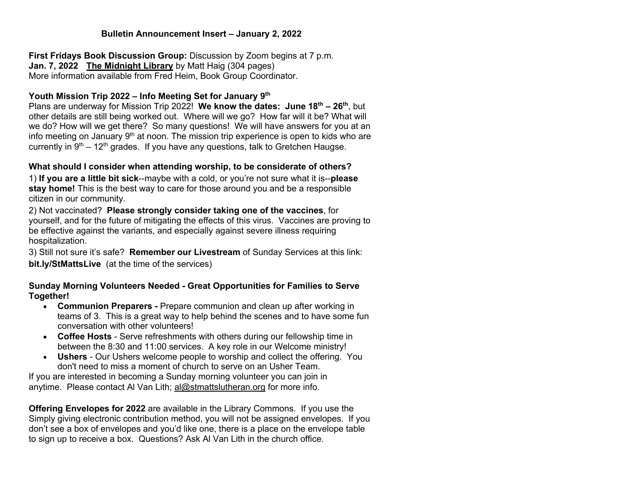### **Bulletin Announcement Insert – January 2, 2022**

**First Fridays Book Discussion Group:** Discussion by Zoom begins at 7 p.m. **Jan. 7, 2022 The Midnight Library** by Matt Haig (304 pages) More information available from Fred Heim, Book Group Coordinator.

#### **Youth Mission Trip 2022 – Info Meeting Set for January 9th**

Plans are underway for Mission Trip 2022! **We know the dates: June 18th – 26th**, but other details are still being worked out. Where will we go? How far will it be? What will we do? How will we get there? So many questions! We will have answers for you at an info meeting on January  $9<sup>th</sup>$  at noon. The mission trip experience is open to kids who are currently in  $9<sup>th</sup> - 12<sup>th</sup>$  grades. If you have any questions, talk to Gretchen Haugse.

## **What should I consider when attending worship, to be considerate of others?**

1) **If you are a little bit sick**--maybe with a cold, or you're not sure what it is--**please stay home!** This is the best way to care for those around you and be a responsible citizen in our community.

2) Not vaccinated? **Please strongly consider taking one of the vaccines**, for yourself, and for the future of mitigating the effects of this virus. Vaccines are proving to be effective against the variants, and especially against severe illness requiring hospitalization.

3) Still not sure it's safe? **Remember our Livestream** of Sunday Services at this link: **bit.ly/StMattsLive** (at the time of the services)

#### **Sunday Morning Volunteers Needed - Great Opportunities for Families to Serve Together!**

- **Communion Preparers -** Prepare communion and clean up after working in teams of 3. This is a great way to help behind the scenes and to have some fun conversation with other volunteers!
- **Coffee Hosts** Serve refreshments with others during our fellowship time in between the 8:30 and 11:00 services. A key role in our Welcome ministry!
- **Ushers** Our Ushers welcome people to worship and collect the offering. You don't need to miss a moment of church to serve on an Usher Team.

If you are interested in becoming a Sunday morning volunteer you can join in anytime. Please contact Al Van Lith; al@stmattslutheran.org for more info.

**Offering Envelopes for 2022** are available in the Library Commons. If you use the Simply giving electronic contribution method, you will not be assigned envelopes. If you don't see a box of envelopes and you'd like one, there is a place on the envelope table to sign up to receive a box. Questions? Ask Al Van Lith in the church office.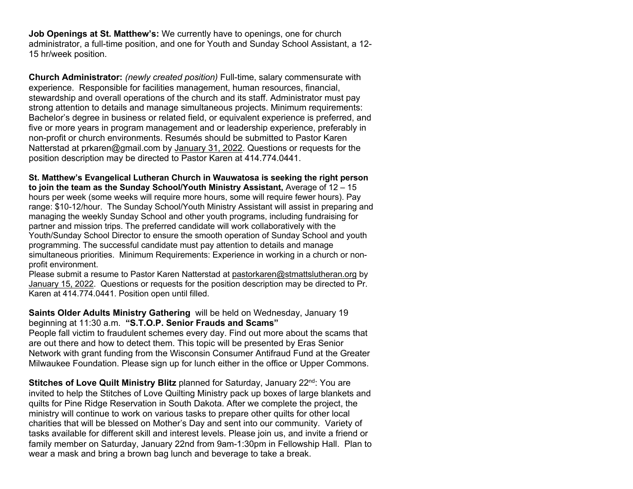**Job Openings at St. Matthew's:** We currently have to openings, one for church administrator, a full-time position, and one for Youth and Sunday School Assistant, a 12- 15 hr/week position.

**Church Administrator:** *(newly created position)* Full-time, salary commensurate with experience. Responsible for facilities management, human resources, financial, stewardship and overall operations of the church and its staff. Administrator must pay strong attention to details and manage simultaneous projects. Minimum requirements: Bachelor's degree in business or related field, or equivalent experience is preferred, and five or more years in program management and or leadership experience, preferably in non-profit or church environments. Resumés should be submitted to Pastor Karen Natterstad at prkaren@gmail.com by January 31, 2022. Questions or requests for the position description may be directed to Pastor Karen at 414.774.0441.

**St. Matthew's Evangelical Lutheran Church in Wauwatosa is seeking the right person to join the team as the Sunday School/Youth Ministry Assistant,** Average of 12 – 15 hours per week (some weeks will require more hours, some will require fewer hours). Pay range: \$10-12/hour. The Sunday School/Youth Ministry Assistant will assist in preparing and managing the weekly Sunday School and other youth programs, including fundraising for partner and mission trips. The preferred candidate will work collaboratively with the Youth/Sunday School Director to ensure the smooth operation of Sunday School and youth programming. The successful candidate must pay attention to details and manage simultaneous priorities. Minimum Requirements: Experience in working in a church or nonprofit environment.

Please submit a resume to Pastor Karen Natterstad at pastorkaren@stmattslutheran.org by January 15, 2022. Questions or requests for the position description may be directed to Pr. Karen at 414.774.0441. Position open until filled.

**Saints Older Adults Ministry Gathering** will be held on Wednesday, January 19 beginning at 11:30 a.m. **"S.T.O.P. Senior Frauds and Scams"**

People fall victim to fraudulent schemes every day. Find out more about the scams that are out there and how to detect them. This topic will be presented by Eras Senior Network with grant funding from the Wisconsin Consumer Antifraud Fund at the Greater Milwaukee Foundation. Please sign up for lunch either in the office or Upper Commons.

**Stitches of Love Quilt Ministry Blitz** planned for Saturday, January 22<sup>nd</sup>: You are invited to help the Stitches of Love Quilting Ministry pack up boxes of large blankets and quilts for Pine Ridge Reservation in South Dakota. After we complete the project, the ministry will continue to work on various tasks to prepare other quilts for other local charities that will be blessed on Mother's Day and sent into our community. Variety of tasks available for different skill and interest levels. Please join us, and invite a friend or family member on Saturday, January 22nd from 9am-1:30pm in Fellowship Hall. Plan to wear a mask and bring a brown bag lunch and beverage to take a break.